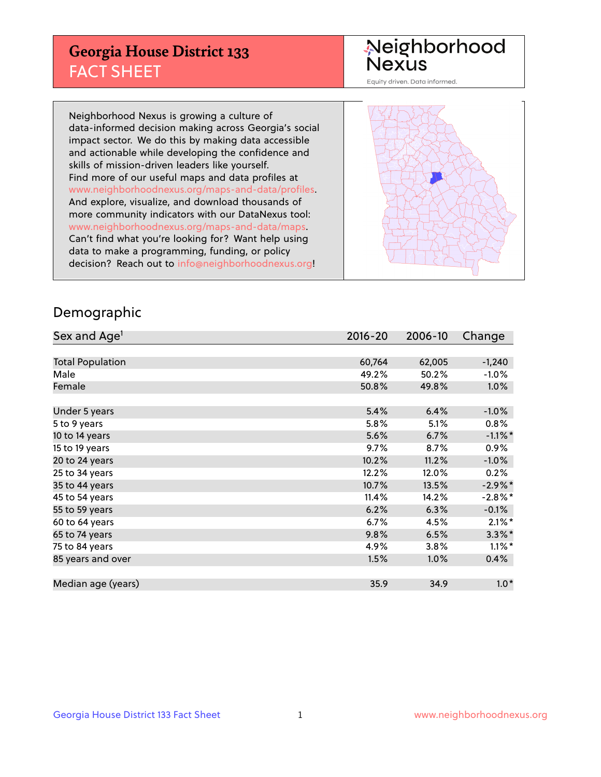## **Georgia House District 133** FACT SHEET

# Neighborhood<br>Nexus

Equity driven. Data informed.

Neighborhood Nexus is growing a culture of data-informed decision making across Georgia's social impact sector. We do this by making data accessible and actionable while developing the confidence and skills of mission-driven leaders like yourself. Find more of our useful maps and data profiles at www.neighborhoodnexus.org/maps-and-data/profiles. And explore, visualize, and download thousands of more community indicators with our DataNexus tool: www.neighborhoodnexus.org/maps-and-data/maps. Can't find what you're looking for? Want help using data to make a programming, funding, or policy decision? Reach out to [info@neighborhoodnexus.org!](mailto:info@neighborhoodnexus.org)



### Demographic

| Sex and Age <sup>1</sup> | $2016 - 20$ | 2006-10 | Change     |
|--------------------------|-------------|---------|------------|
|                          |             |         |            |
| <b>Total Population</b>  | 60,764      | 62,005  | $-1,240$   |
| Male                     | 49.2%       | 50.2%   | $-1.0\%$   |
| Female                   | 50.8%       | 49.8%   | $1.0\%$    |
|                          |             |         |            |
| Under 5 years            | 5.4%        | 6.4%    | $-1.0\%$   |
| 5 to 9 years             | 5.8%        | 5.1%    | $0.8\%$    |
| 10 to 14 years           | 5.6%        | 6.7%    | $-1.1\%$ * |
| 15 to 19 years           | 9.7%        | 8.7%    | 0.9%       |
| 20 to 24 years           | 10.2%       | 11.2%   | $-1.0%$    |
| 25 to 34 years           | 12.2%       | 12.0%   | 0.2%       |
| 35 to 44 years           | 10.7%       | 13.5%   | $-2.9\%$ * |
| 45 to 54 years           | 11.4%       | 14.2%   | $-2.8\%$ * |
| 55 to 59 years           | 6.2%        | 6.3%    | $-0.1%$    |
| 60 to 64 years           | 6.7%        | 4.5%    | $2.1\%$ *  |
| 65 to 74 years           | 9.8%        | 6.5%    | $3.3\%$ *  |
| 75 to 84 years           | 4.9%        | 3.8%    | $1.1\%$ *  |
| 85 years and over        | 1.5%        | 1.0%    | 0.4%       |
|                          |             |         |            |
| Median age (years)       | 35.9        | 34.9    | $1.0*$     |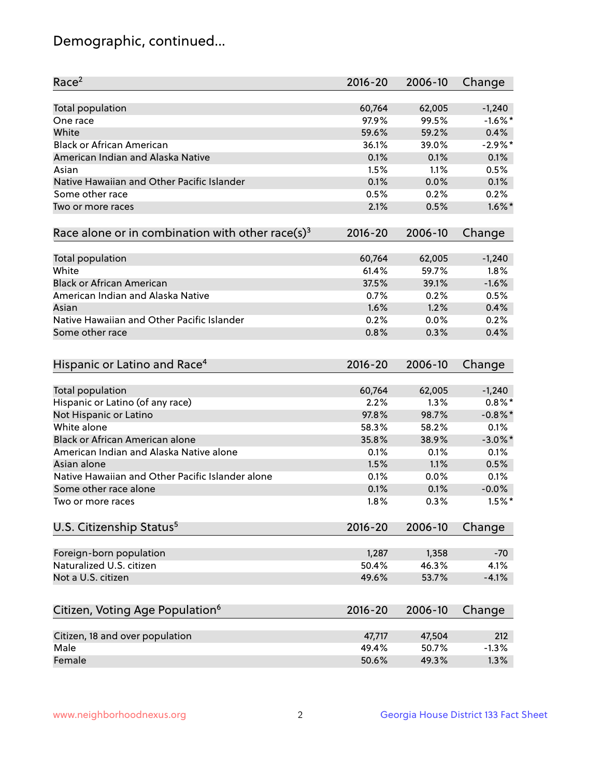## Demographic, continued...

| Race <sup>2</sup>                                            | $2016 - 20$ | 2006-10 | Change     |
|--------------------------------------------------------------|-------------|---------|------------|
| <b>Total population</b>                                      | 60,764      | 62,005  | $-1,240$   |
| One race                                                     | 97.9%       | 99.5%   | $-1.6\%$ * |
| White                                                        | 59.6%       | 59.2%   | 0.4%       |
| <b>Black or African American</b>                             | 36.1%       | 39.0%   | $-2.9%$ *  |
| American Indian and Alaska Native                            | 0.1%        | 0.1%    | 0.1%       |
| Asian                                                        | 1.5%        | 1.1%    | 0.5%       |
| Native Hawaiian and Other Pacific Islander                   | 0.1%        | 0.0%    | 0.1%       |
| Some other race                                              | 0.5%        | 0.2%    | 0.2%       |
| Two or more races                                            | 2.1%        | 0.5%    | $1.6\%$ *  |
|                                                              |             |         |            |
| Race alone or in combination with other race(s) <sup>3</sup> | $2016 - 20$ | 2006-10 | Change     |
| <b>Total population</b>                                      | 60,764      | 62,005  | $-1,240$   |
| White                                                        | 61.4%       | 59.7%   | 1.8%       |
| <b>Black or African American</b>                             | 37.5%       | 39.1%   | $-1.6%$    |
| American Indian and Alaska Native                            | 0.7%        | 0.2%    | 0.5%       |
| Asian                                                        | 1.6%        | 1.2%    | 0.4%       |
| Native Hawaiian and Other Pacific Islander                   | 0.2%        | 0.0%    | 0.2%       |
| Some other race                                              | 0.8%        | 0.3%    | 0.4%       |
|                                                              |             |         |            |
| Hispanic or Latino and Race <sup>4</sup>                     | $2016 - 20$ | 2006-10 | Change     |
| <b>Total population</b>                                      | 60,764      | 62,005  | $-1,240$   |
| Hispanic or Latino (of any race)                             | 2.2%        | 1.3%    | $0.8\%$ *  |
| Not Hispanic or Latino                                       | 97.8%       | 98.7%   | $-0.8\%$ * |
| White alone                                                  | 58.3%       | 58.2%   | 0.1%       |
| <b>Black or African American alone</b>                       | 35.8%       | 38.9%   | $-3.0\%$ * |
| American Indian and Alaska Native alone                      | 0.1%        | 0.1%    | 0.1%       |
| Asian alone                                                  | 1.5%        | 1.1%    | 0.5%       |
| Native Hawaiian and Other Pacific Islander alone             | 0.1%        | 0.0%    | 0.1%       |
| Some other race alone                                        | 0.1%        | 0.1%    | $-0.0%$    |
|                                                              |             | 0.3%    | $1.5%$ *   |
| Two or more races                                            | 1.8%        |         |            |
| U.S. Citizenship Status <sup>5</sup>                         | $2016 - 20$ | 2006-10 | Change     |
| Foreign-born population                                      | 1,287       | 1,358   | $-70$      |
| Naturalized U.S. citizen                                     | 50.4%       | 46.3%   | 4.1%       |
| Not a U.S. citizen                                           | 49.6%       | 53.7%   | $-4.1%$    |
|                                                              |             |         |            |
| Citizen, Voting Age Population <sup>6</sup>                  | $2016 - 20$ | 2006-10 | Change     |
| Citizen, 18 and over population                              | 47,717      | 47,504  | 212        |
| Male                                                         | 49.4%       | 50.7%   | $-1.3%$    |
| Female                                                       | 50.6%       | 49.3%   | 1.3%       |
|                                                              |             |         |            |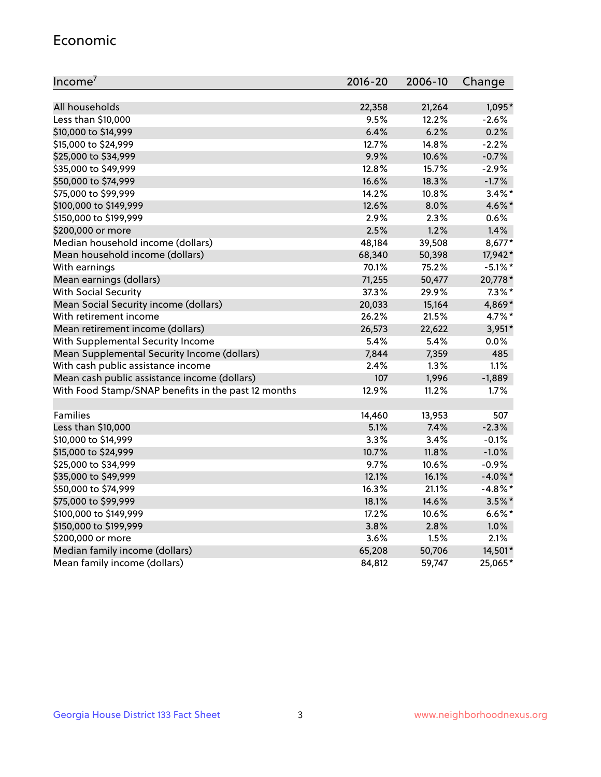#### Economic

| Income <sup>7</sup>                                 | $2016 - 20$ | 2006-10 | Change     |
|-----------------------------------------------------|-------------|---------|------------|
|                                                     |             |         |            |
| All households                                      | 22,358      | 21,264  | 1,095*     |
| Less than \$10,000                                  | 9.5%        | 12.2%   | $-2.6%$    |
| \$10,000 to \$14,999                                | 6.4%        | 6.2%    | 0.2%       |
| \$15,000 to \$24,999                                | 12.7%       | 14.8%   | $-2.2%$    |
| \$25,000 to \$34,999                                | 9.9%        | 10.6%   | $-0.7%$    |
| \$35,000 to \$49,999                                | 12.8%       | 15.7%   | $-2.9%$    |
| \$50,000 to \$74,999                                | 16.6%       | 18.3%   | $-1.7%$    |
| \$75,000 to \$99,999                                | 14.2%       | 10.8%   | $3.4\%$ *  |
| \$100,000 to \$149,999                              | 12.6%       | 8.0%    | 4.6%*      |
| \$150,000 to \$199,999                              | 2.9%        | 2.3%    | 0.6%       |
| \$200,000 or more                                   | 2.5%        | 1.2%    | 1.4%       |
| Median household income (dollars)                   | 48,184      | 39,508  | 8,677*     |
| Mean household income (dollars)                     | 68,340      | 50,398  | 17,942*    |
| With earnings                                       | 70.1%       | 75.2%   | $-5.1\%$ * |
| Mean earnings (dollars)                             | 71,255      | 50,477  | 20,778*    |
| <b>With Social Security</b>                         | 37.3%       | 29.9%   | $7.3\%$ *  |
| Mean Social Security income (dollars)               | 20,033      | 15,164  | 4,869*     |
| With retirement income                              | 26.2%       | 21.5%   | 4.7%*      |
| Mean retirement income (dollars)                    | 26,573      | 22,622  | $3,951*$   |
| With Supplemental Security Income                   | $5.4\%$     | 5.4%    | 0.0%       |
| Mean Supplemental Security Income (dollars)         | 7,844       | 7,359   | 485        |
| With cash public assistance income                  | 2.4%        | 1.3%    | $1.1\%$    |
| Mean cash public assistance income (dollars)        | 107         | 1,996   | $-1,889$   |
| With Food Stamp/SNAP benefits in the past 12 months | 12.9%       | 11.2%   | 1.7%       |
|                                                     |             |         |            |
| Families                                            | 14,460      | 13,953  | 507        |
| Less than \$10,000                                  | 5.1%        | 7.4%    | $-2.3%$    |
| \$10,000 to \$14,999                                | 3.3%        | 3.4%    | $-0.1%$    |
| \$15,000 to \$24,999                                | 10.7%       | 11.8%   | $-1.0%$    |
| \$25,000 to \$34,999                                | 9.7%        | 10.6%   | $-0.9%$    |
| \$35,000 to \$49,999                                | 12.1%       | 16.1%   | $-4.0\%$ * |
| \$50,000 to \$74,999                                | 16.3%       | 21.1%   | $-4.8\%$ * |
| \$75,000 to \$99,999                                | 18.1%       | 14.6%   | $3.5\%$ *  |
| \$100,000 to \$149,999                              | 17.2%       | 10.6%   | $6.6\%$ *  |
| \$150,000 to \$199,999                              | 3.8%        | 2.8%    | 1.0%       |
| \$200,000 or more                                   | 3.6%        | 1.5%    | 2.1%       |
| Median family income (dollars)                      | 65,208      | 50,706  | 14,501*    |
| Mean family income (dollars)                        | 84,812      | 59,747  | 25,065*    |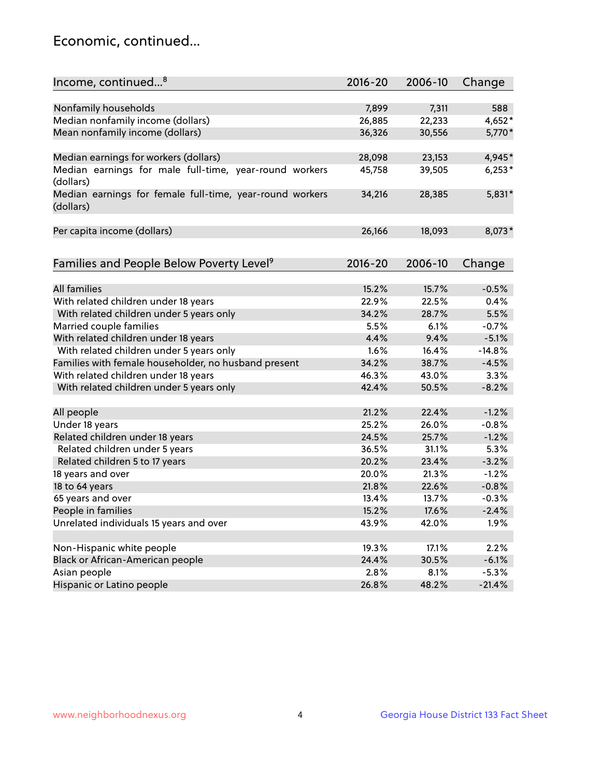## Economic, continued...

| Income, continued <sup>8</sup>                           | 2016-20 | 2006-10 | Change   |
|----------------------------------------------------------|---------|---------|----------|
|                                                          |         |         |          |
| Nonfamily households                                     | 7,899   | 7,311   | 588      |
| Median nonfamily income (dollars)                        | 26,885  | 22,233  | 4,652*   |
| Mean nonfamily income (dollars)                          | 36,326  | 30,556  | 5,770*   |
| Median earnings for workers (dollars)                    | 28,098  | 23,153  | 4,945*   |
| Median earnings for male full-time, year-round workers   | 45,758  | 39,505  | $6,253*$ |
| (dollars)                                                |         |         |          |
| Median earnings for female full-time, year-round workers | 34,216  | 28,385  | $5,831*$ |
| (dollars)                                                |         |         |          |
|                                                          |         |         |          |
| Per capita income (dollars)                              | 26,166  | 18,093  | 8,073*   |
|                                                          |         |         |          |
| Families and People Below Poverty Level <sup>9</sup>     | 2016-20 | 2006-10 | Change   |
|                                                          |         |         |          |
| <b>All families</b>                                      | 15.2%   | 15.7%   | $-0.5%$  |
| With related children under 18 years                     | 22.9%   | 22.5%   | 0.4%     |
| With related children under 5 years only                 | 34.2%   | 28.7%   | 5.5%     |
| Married couple families                                  | 5.5%    | 6.1%    | $-0.7%$  |
| With related children under 18 years                     | 4.4%    | 9.4%    | $-5.1%$  |
| With related children under 5 years only                 | 1.6%    | 16.4%   | $-14.8%$ |
| Families with female householder, no husband present     | 34.2%   | 38.7%   | $-4.5%$  |
| With related children under 18 years                     | 46.3%   | 43.0%   | 3.3%     |
| With related children under 5 years only                 | 42.4%   | 50.5%   | $-8.2%$  |
|                                                          |         |         |          |
| All people                                               | 21.2%   | 22.4%   | $-1.2%$  |
| Under 18 years                                           | 25.2%   | 26.0%   | $-0.8%$  |
| Related children under 18 years                          | 24.5%   | 25.7%   | $-1.2%$  |
| Related children under 5 years                           | 36.5%   | 31.1%   | 5.3%     |
| Related children 5 to 17 years                           | 20.2%   | 23.4%   | $-3.2%$  |
| 18 years and over                                        | 20.0%   | 21.3%   | $-1.2%$  |
| 18 to 64 years                                           | 21.8%   | 22.6%   | $-0.8%$  |
| 65 years and over                                        | 13.4%   | 13.7%   | $-0.3%$  |
| People in families                                       | 15.2%   | 17.6%   | $-2.4%$  |
| Unrelated individuals 15 years and over                  | 43.9%   | 42.0%   | 1.9%     |
|                                                          |         |         |          |
| Non-Hispanic white people                                | 19.3%   | 17.1%   | 2.2%     |
| Black or African-American people                         | 24.4%   | 30.5%   | $-6.1%$  |
| Asian people                                             | 2.8%    | 8.1%    | $-5.3%$  |
| Hispanic or Latino people                                | 26.8%   | 48.2%   | $-21.4%$ |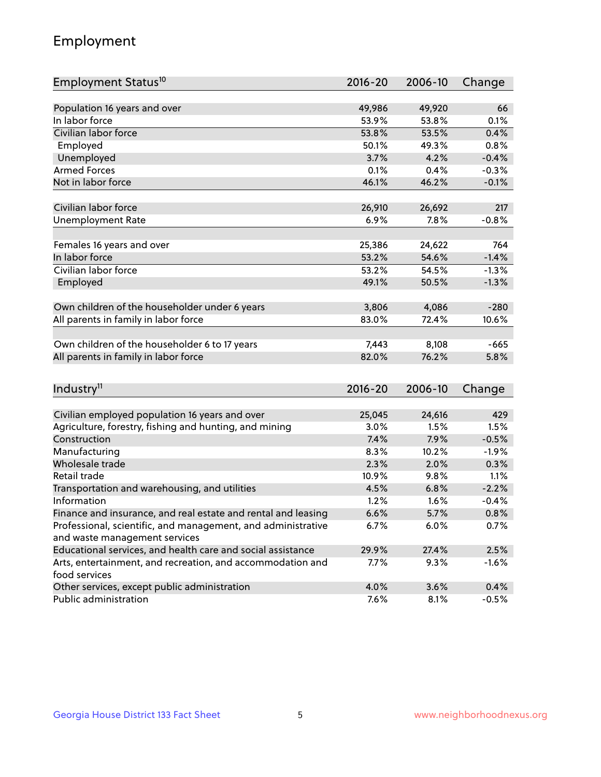## Employment

| Employment Status <sup>10</sup>                                             | 2016-20     | 2006-10 | Change  |
|-----------------------------------------------------------------------------|-------------|---------|---------|
|                                                                             |             |         |         |
| Population 16 years and over                                                | 49,986      | 49,920  | 66      |
| In labor force                                                              | 53.9%       | 53.8%   | 0.1%    |
| Civilian labor force                                                        | 53.8%       | 53.5%   | 0.4%    |
| Employed                                                                    | 50.1%       | 49.3%   | 0.8%    |
| Unemployed                                                                  | 3.7%        | 4.2%    | $-0.4%$ |
| <b>Armed Forces</b>                                                         | 0.1%        | 0.4%    | $-0.3%$ |
| Not in labor force                                                          | 46.1%       | 46.2%   | $-0.1%$ |
|                                                                             |             |         |         |
| Civilian labor force                                                        | 26,910      | 26,692  | 217     |
| <b>Unemployment Rate</b>                                                    | 6.9%        | 7.8%    | $-0.8%$ |
| Females 16 years and over                                                   | 25,386      | 24,622  | 764     |
| In labor force                                                              | 53.2%       | 54.6%   | $-1.4%$ |
| Civilian labor force                                                        | 53.2%       | 54.5%   | $-1.3%$ |
| Employed                                                                    | 49.1%       | 50.5%   | $-1.3%$ |
|                                                                             |             |         |         |
| Own children of the householder under 6 years                               | 3,806       | 4,086   | $-280$  |
| All parents in family in labor force                                        | 83.0%       | 72.4%   | 10.6%   |
|                                                                             |             |         |         |
| Own children of the householder 6 to 17 years                               | 7,443       | 8,108   | $-665$  |
| All parents in family in labor force                                        | 82.0%       | 76.2%   | 5.8%    |
|                                                                             |             |         |         |
| Industry <sup>11</sup>                                                      | $2016 - 20$ | 2006-10 | Change  |
|                                                                             |             |         |         |
| Civilian employed population 16 years and over                              | 25,045      | 24,616  | 429     |
| Agriculture, forestry, fishing and hunting, and mining                      | 3.0%        | 1.5%    | 1.5%    |
| Construction                                                                | 7.4%        | 7.9%    | $-0.5%$ |
| Manufacturing                                                               | 8.3%        | 10.2%   | $-1.9%$ |
| Wholesale trade                                                             | 2.3%        | 2.0%    | 0.3%    |
| Retail trade                                                                | 10.9%       | 9.8%    | 1.1%    |
| Transportation and warehousing, and utilities                               | 4.5%        | 6.8%    | $-2.2%$ |
| Information                                                                 | 1.2%        | 1.6%    | $-0.4%$ |
| Finance and insurance, and real estate and rental and leasing               | 6.6%        | 5.7%    | 0.8%    |
| Professional, scientific, and management, and administrative                | 6.7%        | 6.0%    | 0.7%    |
| and waste management services                                               |             |         |         |
| Educational services, and health care and social assistance                 | 29.9%       | 27.4%   | 2.5%    |
| Arts, entertainment, and recreation, and accommodation and<br>food services | 7.7%        | 9.3%    | $-1.6%$ |
| Other services, except public administration                                | 4.0%        | 3.6%    | 0.4%    |
| Public administration                                                       | 7.6%        | 8.1%    | $-0.5%$ |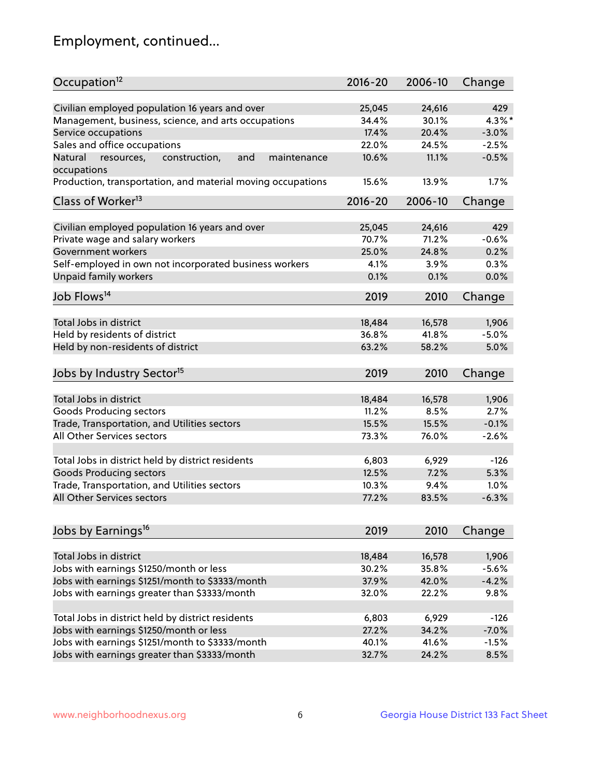## Employment, continued...

| Occupation <sup>12</sup>                                     | $2016 - 20$ | 2006-10 | Change  |
|--------------------------------------------------------------|-------------|---------|---------|
| Civilian employed population 16 years and over               | 25,045      | 24,616  | 429     |
| Management, business, science, and arts occupations          | 34.4%       | 30.1%   | 4.3%*   |
| Service occupations                                          | 17.4%       | 20.4%   | $-3.0%$ |
| Sales and office occupations                                 | 22.0%       | 24.5%   | $-2.5%$ |
| Natural<br>and<br>resources,<br>construction,<br>maintenance | 10.6%       | 11.1%   | $-0.5%$ |
| occupations                                                  |             |         |         |
| Production, transportation, and material moving occupations  | 15.6%       | 13.9%   | 1.7%    |
| Class of Worker <sup>13</sup>                                | $2016 - 20$ | 2006-10 | Change  |
| Civilian employed population 16 years and over               | 25,045      | 24,616  | 429     |
| Private wage and salary workers                              | 70.7%       | 71.2%   | $-0.6%$ |
| Government workers                                           | 25.0%       | 24.8%   | 0.2%    |
| Self-employed in own not incorporated business workers       | 4.1%        | 3.9%    | 0.3%    |
| Unpaid family workers                                        | 0.1%        | 0.1%    | 0.0%    |
| Job Flows <sup>14</sup>                                      | 2019        | 2010    | Change  |
|                                                              |             |         |         |
| Total Jobs in district                                       | 18,484      | 16,578  | 1,906   |
| Held by residents of district                                | 36.8%       | 41.8%   | $-5.0%$ |
| Held by non-residents of district                            | 63.2%       | 58.2%   | 5.0%    |
| Jobs by Industry Sector <sup>15</sup>                        | 2019        | 2010    | Change  |
| Total Jobs in district                                       | 18,484      | 16,578  | 1,906   |
| Goods Producing sectors                                      | 11.2%       | 8.5%    | 2.7%    |
| Trade, Transportation, and Utilities sectors                 | 15.5%       | 15.5%   | $-0.1%$ |
| All Other Services sectors                                   | 73.3%       | 76.0%   | $-2.6%$ |
|                                                              |             |         |         |
| Total Jobs in district held by district residents            | 6,803       | 6,929   | $-126$  |
| <b>Goods Producing sectors</b>                               | 12.5%       | 7.2%    | 5.3%    |
| Trade, Transportation, and Utilities sectors                 | 10.3%       | 9.4%    | 1.0%    |
| All Other Services sectors                                   | 77.2%       | 83.5%   | $-6.3%$ |
|                                                              |             |         |         |
| Jobs by Earnings <sup>16</sup>                               | 2019        | 2010    | Change  |
| Total Jobs in district                                       | 18,484      | 16,578  | 1,906   |
| Jobs with earnings \$1250/month or less                      | 30.2%       | 35.8%   | $-5.6%$ |
| Jobs with earnings \$1251/month to \$3333/month              | 37.9%       | 42.0%   | $-4.2%$ |
| Jobs with earnings greater than \$3333/month                 | 32.0%       | 22.2%   | 9.8%    |
|                                                              |             |         |         |
| Total Jobs in district held by district residents            | 6,803       | 6,929   | $-126$  |
| Jobs with earnings \$1250/month or less                      | 27.2%       | 34.2%   | $-7.0%$ |
| Jobs with earnings \$1251/month to \$3333/month              | 40.1%       | 41.6%   | $-1.5%$ |
| Jobs with earnings greater than \$3333/month                 | 32.7%       | 24.2%   | 8.5%    |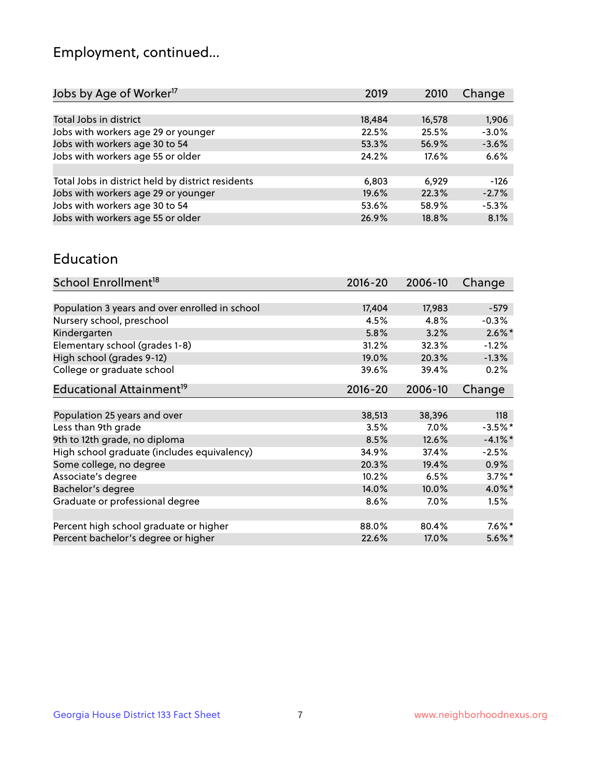## Employment, continued...

| Jobs by Age of Worker <sup>17</sup>               | 2019   | 2010   | Change  |
|---------------------------------------------------|--------|--------|---------|
|                                                   |        |        |         |
| Total Jobs in district                            | 18,484 | 16,578 | 1,906   |
| Jobs with workers age 29 or younger               | 22.5%  | 25.5%  | $-3.0%$ |
| Jobs with workers age 30 to 54                    | 53.3%  | 56.9%  | $-3.6%$ |
| Jobs with workers age 55 or older                 | 24.2%  | 17.6%  | 6.6%    |
|                                                   |        |        |         |
| Total Jobs in district held by district residents | 6,803  | 6.929  | $-126$  |
| Jobs with workers age 29 or younger               | 19.6%  | 22.3%  | $-2.7%$ |
| Jobs with workers age 30 to 54                    | 53.6%  | 58.9%  | $-5.3%$ |
| Jobs with workers age 55 or older                 | 26.9%  | 18.8%  | 8.1%    |

#### Education

| School Enrollment <sup>18</sup>                | $2016 - 20$ | 2006-10 | Change     |
|------------------------------------------------|-------------|---------|------------|
|                                                |             |         |            |
| Population 3 years and over enrolled in school | 17,404      | 17,983  | $-579$     |
| Nursery school, preschool                      | 4.5%        | 4.8%    | $-0.3%$    |
| Kindergarten                                   | 5.8%        | 3.2%    | $2.6\%$ *  |
| Elementary school (grades 1-8)                 | 31.2%       | 32.3%   | $-1.2%$    |
| High school (grades 9-12)                      | 19.0%       | 20.3%   | $-1.3%$    |
| College or graduate school                     | 39.6%       | 39.4%   | 0.2%       |
| Educational Attainment <sup>19</sup>           | $2016 - 20$ | 2006-10 | Change     |
|                                                |             |         |            |
| Population 25 years and over                   | 38,513      | 38,396  | 118        |
| Less than 9th grade                            | 3.5%        | $7.0\%$ | $-3.5%$ *  |
| 9th to 12th grade, no diploma                  | 8.5%        | 12.6%   | $-4.1\%$ * |
| High school graduate (includes equivalency)    | 34.9%       | 37.4%   | $-2.5%$    |
| Some college, no degree                        | 20.3%       | 19.4%   | 0.9%       |
| Associate's degree                             | 10.2%       | 6.5%    | $3.7\%$ *  |
| Bachelor's degree                              | 14.0%       | 10.0%   | 4.0%*      |
| Graduate or professional degree                | 8.6%        | $7.0\%$ | 1.5%       |
|                                                |             |         |            |
| Percent high school graduate or higher         | 88.0%       | 80.4%   | $7.6\%$ *  |
| Percent bachelor's degree or higher            | 22.6%       | 17.0%   | $5.6\%$ *  |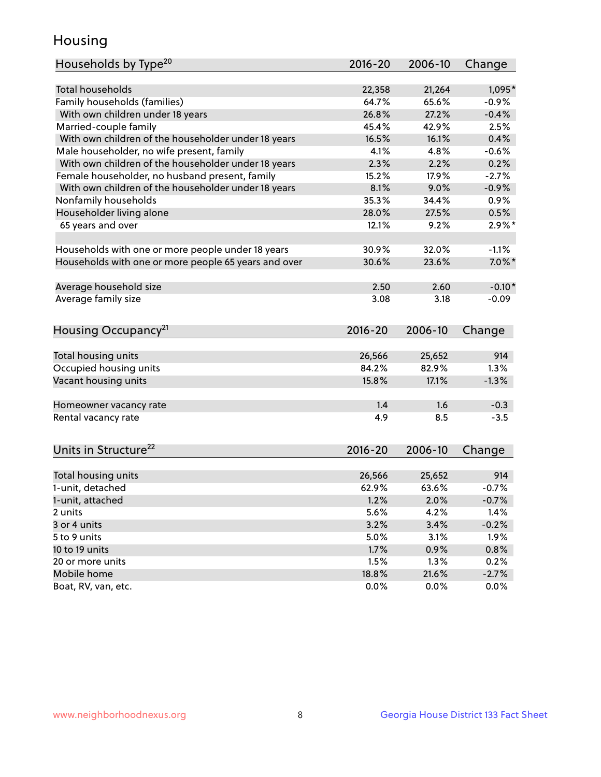## Housing

| Households by Type <sup>20</sup>                     | 2016-20     | 2006-10 | Change    |
|------------------------------------------------------|-------------|---------|-----------|
|                                                      |             |         |           |
| Total households                                     | 22,358      | 21,264  | 1,095*    |
| Family households (families)                         | 64.7%       | 65.6%   | $-0.9%$   |
| With own children under 18 years                     | 26.8%       | 27.2%   | $-0.4%$   |
| Married-couple family                                | 45.4%       | 42.9%   | 2.5%      |
| With own children of the householder under 18 years  | 16.5%       | 16.1%   | 0.4%      |
| Male householder, no wife present, family            | 4.1%        | 4.8%    | $-0.6%$   |
| With own children of the householder under 18 years  | 2.3%        | 2.2%    | 0.2%      |
| Female householder, no husband present, family       | 15.2%       | 17.9%   | $-2.7%$   |
| With own children of the householder under 18 years  | 8.1%        | 9.0%    | $-0.9%$   |
| Nonfamily households                                 | 35.3%       | 34.4%   | 0.9%      |
| Householder living alone                             | 28.0%       | 27.5%   | 0.5%      |
| 65 years and over                                    | 12.1%       | 9.2%    | $2.9\%$ * |
|                                                      |             |         |           |
| Households with one or more people under 18 years    | 30.9%       | 32.0%   | $-1.1%$   |
| Households with one or more people 65 years and over | 30.6%       | 23.6%   | $7.0\%$ * |
|                                                      |             |         |           |
| Average household size                               | 2.50        | 2.60    | $-0.10*$  |
| Average family size                                  | 3.08        | 3.18    | $-0.09$   |
| Housing Occupancy <sup>21</sup>                      | 2016-20     | 2006-10 | Change    |
|                                                      |             |         |           |
| Total housing units                                  | 26,566      | 25,652  | 914       |
| Occupied housing units                               | 84.2%       | 82.9%   | 1.3%      |
| Vacant housing units                                 | 15.8%       | 17.1%   | $-1.3%$   |
|                                                      |             |         |           |
| Homeowner vacancy rate                               | 1.4         | 1.6     | $-0.3$    |
| Rental vacancy rate                                  | 4.9         | 8.5     | $-3.5$    |
|                                                      |             |         |           |
| Units in Structure <sup>22</sup>                     | $2016 - 20$ | 2006-10 | Change    |
| Total housing units                                  | 26,566      | 25,652  | 914       |
| 1-unit, detached                                     | 62.9%       | 63.6%   | $-0.7%$   |
| 1-unit, attached                                     | 1.2%        | 2.0%    | $-0.7%$   |
| 2 units                                              | 5.6%        | 4.2%    | 1.4%      |
| 3 or 4 units                                         | 3.2%        | 3.4%    | $-0.2%$   |
| 5 to 9 units                                         | 5.0%        | 3.1%    | 1.9%      |
| 10 to 19 units                                       | 1.7%        | 0.9%    | 0.8%      |
| 20 or more units                                     | 1.5%        |         | 0.2%      |
| Mobile home                                          |             | 1.3%    | $-2.7%$   |
|                                                      | 18.8%       | 21.6%   |           |
| Boat, RV, van, etc.                                  | 0.0%        | 0.0%    | 0.0%      |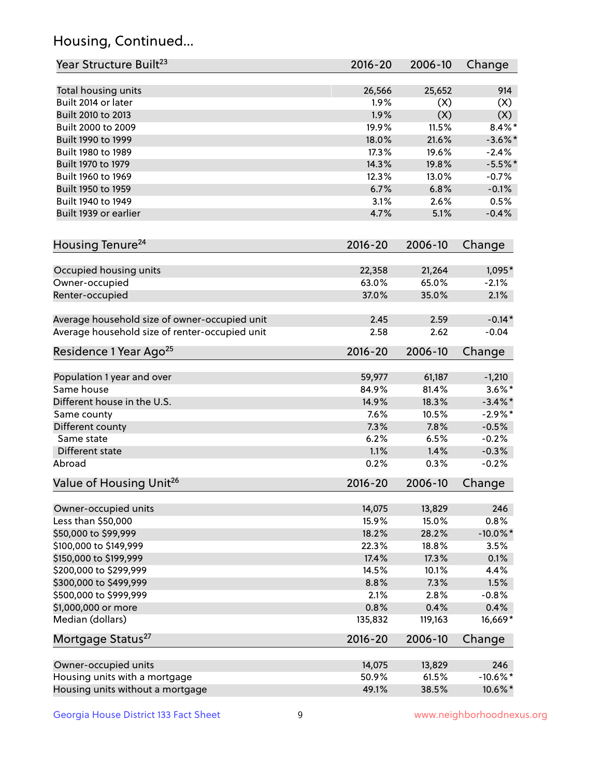## Housing, Continued...

| Year Structure Built <sup>23</sup>             | 2016-20        | 2006-10 | Change      |
|------------------------------------------------|----------------|---------|-------------|
| Total housing units                            | 26,566         | 25,652  | 914         |
| Built 2014 or later                            | 1.9%           | (X)     | (X)         |
| Built 2010 to 2013                             | 1.9%           | (X)     | (X)         |
| Built 2000 to 2009                             | 19.9%          | 11.5%   | $8.4\%$ *   |
|                                                | 18.0%          | 21.6%   |             |
| Built 1990 to 1999                             | 17.3%          |         | $-3.6\%$ *  |
| Built 1980 to 1989<br>Built 1970 to 1979       |                | 19.6%   | $-2.4%$     |
|                                                | 14.3%<br>12.3% | 19.8%   | $-5.5%$ *   |
| Built 1960 to 1969                             |                | 13.0%   | $-0.7%$     |
| Built 1950 to 1959                             | 6.7%           | 6.8%    | $-0.1%$     |
| Built 1940 to 1949                             | 3.1%           | 2.6%    | 0.5%        |
| Built 1939 or earlier                          | 4.7%           | 5.1%    | $-0.4%$     |
| Housing Tenure <sup>24</sup>                   | $2016 - 20$    | 2006-10 | Change      |
| Occupied housing units                         | 22,358         | 21,264  | 1,095*      |
| Owner-occupied                                 | 63.0%          | 65.0%   | $-2.1%$     |
| Renter-occupied                                | 37.0%          | 35.0%   | 2.1%        |
| Average household size of owner-occupied unit  | 2.45           | 2.59    | $-0.14*$    |
| Average household size of renter-occupied unit | 2.58           | 2.62    | $-0.04$     |
| Residence 1 Year Ago <sup>25</sup>             | $2016 - 20$    | 2006-10 | Change      |
|                                                |                |         |             |
| Population 1 year and over                     | 59,977         | 61,187  | $-1,210$    |
| Same house                                     | 84.9%          | 81.4%   | $3.6\%$ *   |
| Different house in the U.S.                    | 14.9%          | 18.3%   | $-3.4\%$ *  |
| Same county                                    | 7.6%           | 10.5%   | $-2.9\%$ *  |
| Different county                               | 7.3%           | 7.8%    | $-0.5%$     |
| Same state                                     | 6.2%           | 6.5%    | $-0.2%$     |
| Different state                                | 1.1%           | 1.4%    | $-0.3%$     |
| Abroad                                         | 0.2%           | 0.3%    | $-0.2%$     |
| Value of Housing Unit <sup>26</sup>            | $2016 - 20$    | 2006-10 | Change      |
| Owner-occupied units                           | 14,075         | 13,829  | 246         |
| Less than \$50,000                             | 15.9%          | 15.0%   | 0.8%        |
| \$50,000 to \$99,999                           | 18.2%          | 28.2%   | $-10.0\%$ * |
| \$100,000 to \$149,999                         | 22.3%          | 18.8%   | 3.5%        |
| \$150,000 to \$199,999                         | 17.4%          | 17.3%   | 0.1%        |
| \$200,000 to \$299,999                         | 14.5%          | 10.1%   | 4.4%        |
| \$300,000 to \$499,999                         | 8.8%           | 7.3%    | 1.5%        |
| \$500,000 to \$999,999                         | 2.1%           | 2.8%    | $-0.8%$     |
| \$1,000,000 or more                            | 0.8%           | 0.4%    | 0.4%        |
| Median (dollars)                               | 135,832        | 119,163 | 16,669*     |
| Mortgage Status <sup>27</sup>                  | $2016 - 20$    | 2006-10 | Change      |
| Owner-occupied units                           | 14,075         | 13,829  | 246         |
| Housing units with a mortgage                  | 50.9%          | 61.5%   | $-10.6\%$ * |
|                                                |                |         |             |
| Housing units without a mortgage               | 49.1%          | 38.5%   | 10.6%*      |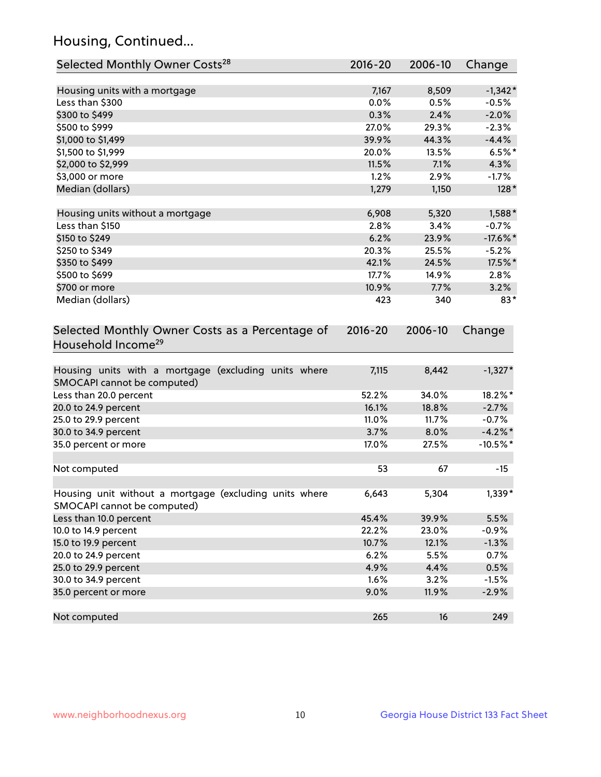## Housing, Continued...

| Selected Monthly Owner Costs <sup>28</sup>                                            | 2016-20     | 2006-10 | Change      |
|---------------------------------------------------------------------------------------|-------------|---------|-------------|
| Housing units with a mortgage                                                         | 7,167       | 8,509   | $-1,342*$   |
| Less than \$300                                                                       | 0.0%        | 0.5%    | $-0.5%$     |
| \$300 to \$499                                                                        | 0.3%        | 2.4%    | $-2.0%$     |
| \$500 to \$999                                                                        | 27.0%       | 29.3%   | $-2.3%$     |
| \$1,000 to \$1,499                                                                    | 39.9%       | 44.3%   | $-4.4%$     |
| \$1,500 to \$1,999                                                                    | 20.0%       | 13.5%   | $6.5%$ *    |
| \$2,000 to \$2,999                                                                    | 11.5%       | 7.1%    | 4.3%        |
| \$3,000 or more                                                                       | 1.2%        | 2.9%    | $-1.7%$     |
| Median (dollars)                                                                      | 1,279       | 1,150   | $128*$      |
| Housing units without a mortgage                                                      | 6,908       | 5,320   | 1,588*      |
| Less than \$150                                                                       | 2.8%        | 3.4%    | $-0.7%$     |
| \$150 to \$249                                                                        | 6.2%        | 23.9%   | $-17.6\%$ * |
| \$250 to \$349                                                                        | 20.3%       | 25.5%   | $-5.2%$     |
| \$350 to \$499                                                                        | 42.1%       | 24.5%   | 17.5%*      |
| \$500 to \$699                                                                        | 17.7%       | 14.9%   | 2.8%        |
| \$700 or more                                                                         | 10.9%       | 7.7%    | 3.2%        |
| Median (dollars)                                                                      | 423         | 340     | $83*$       |
| Selected Monthly Owner Costs as a Percentage of<br>Household Income <sup>29</sup>     | $2016 - 20$ | 2006-10 | Change      |
| Housing units with a mortgage (excluding units where<br>SMOCAPI cannot be computed)   | 7,115       | 8,442   | $-1,327*$   |
| Less than 20.0 percent                                                                | 52.2%       | 34.0%   | 18.2%*      |
| 20.0 to 24.9 percent                                                                  | 16.1%       | 18.8%   | $-2.7%$     |
| 25.0 to 29.9 percent                                                                  | 11.0%       | 11.7%   | $-0.7%$     |
| 30.0 to 34.9 percent                                                                  | 3.7%        | 8.0%    | $-4.2\%$ *  |
| 35.0 percent or more                                                                  | 17.0%       | 27.5%   | $-10.5%$ *  |
| Not computed                                                                          | 53          | 67      | $-15$       |
| Housing unit without a mortgage (excluding units where<br>SMOCAPI cannot be computed) | 6,643       | 5,304   | 1,339*      |
| Less than 10.0 percent                                                                | 45.4%       | 39.9%   | 5.5%        |
| 10.0 to 14.9 percent                                                                  | 22.2%       | 23.0%   | $-0.9%$     |
| 15.0 to 19.9 percent                                                                  | 10.7%       | 12.1%   | $-1.3%$     |
| 20.0 to 24.9 percent                                                                  | 6.2%        | 5.5%    | 0.7%        |
| 25.0 to 29.9 percent                                                                  | 4.9%        | 4.4%    | 0.5%        |
| 30.0 to 34.9 percent                                                                  | 1.6%        | 3.2%    | $-1.5%$     |
| 35.0 percent or more                                                                  | 9.0%        | 11.9%   | $-2.9%$     |
| Not computed                                                                          | 265         | 16      | 249         |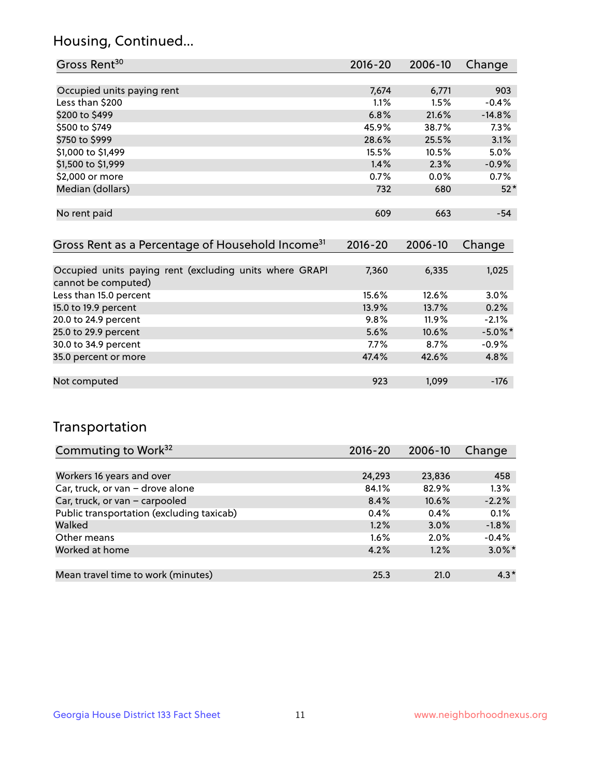## Housing, Continued...

| Gross Rent <sup>30</sup>   | $2016 - 20$ | 2006-10 | Change   |
|----------------------------|-------------|---------|----------|
|                            |             |         |          |
| Occupied units paying rent | 7,674       | 6,771   | 903      |
| Less than \$200            | $1.1\%$     | 1.5%    | $-0.4%$  |
| \$200 to \$499             | 6.8%        | 21.6%   | $-14.8%$ |
| \$500 to \$749             | 45.9%       | 38.7%   | 7.3%     |
| \$750 to \$999             | 28.6%       | 25.5%   | 3.1%     |
| \$1,000 to \$1,499         | 15.5%       | 10.5%   | 5.0%     |
| \$1,500 to \$1,999         | 1.4%        | 2.3%    | $-0.9%$  |
| \$2,000 or more            | 0.7%        | $0.0\%$ | 0.7%     |
| Median (dollars)           | 732         | 680     | $52*$    |
|                            |             |         |          |
| No rent paid               | 609         | 663     | $-54$    |
|                            |             |         |          |

| Gross Rent as a Percentage of Household Income <sup>31</sup>                   | $2016 - 20$ | 2006-10  | Change     |
|--------------------------------------------------------------------------------|-------------|----------|------------|
|                                                                                |             |          |            |
| Occupied units paying rent (excluding units where GRAPI<br>cannot be computed) | 7,360       | 6,335    | 1,025      |
| Less than 15.0 percent                                                         | 15.6%       | 12.6%    | $3.0\%$    |
| 15.0 to 19.9 percent                                                           | 13.9%       | 13.7%    | 0.2%       |
| 20.0 to 24.9 percent                                                           | 9.8%        | $11.9\%$ | $-2.1%$    |
| 25.0 to 29.9 percent                                                           | 5.6%        | 10.6%    | $-5.0\%$ * |
| 30.0 to 34.9 percent                                                           | $7.7\%$     | 8.7%     | $-0.9%$    |
| 35.0 percent or more                                                           | 47.4%       | 42.6%    | 4.8%       |
|                                                                                |             |          |            |
| Not computed                                                                   | 923         | 1.099    | -176       |

## Transportation

| Commuting to Work <sup>32</sup>           | $2016 - 20$ | 2006-10  | Change    |
|-------------------------------------------|-------------|----------|-----------|
|                                           |             |          |           |
| Workers 16 years and over                 | 24,293      | 23,836   | 458       |
| Car, truck, or van - drove alone          | 84.1%       | 82.9%    | 1.3%      |
| Car, truck, or van - carpooled            | 8.4%        | $10.6\%$ | $-2.2%$   |
| Public transportation (excluding taxicab) | 0.4%        | 0.4%     | 0.1%      |
| Walked                                    | 1.2%        | 3.0%     | $-1.8%$   |
| Other means                               | $1.6\%$     | $2.0\%$  | $-0.4%$   |
| Worked at home                            | 4.2%        | 1.2%     | $3.0\%$ * |
|                                           |             |          |           |
| Mean travel time to work (minutes)        | 25.3        | 21.0     | $4.3*$    |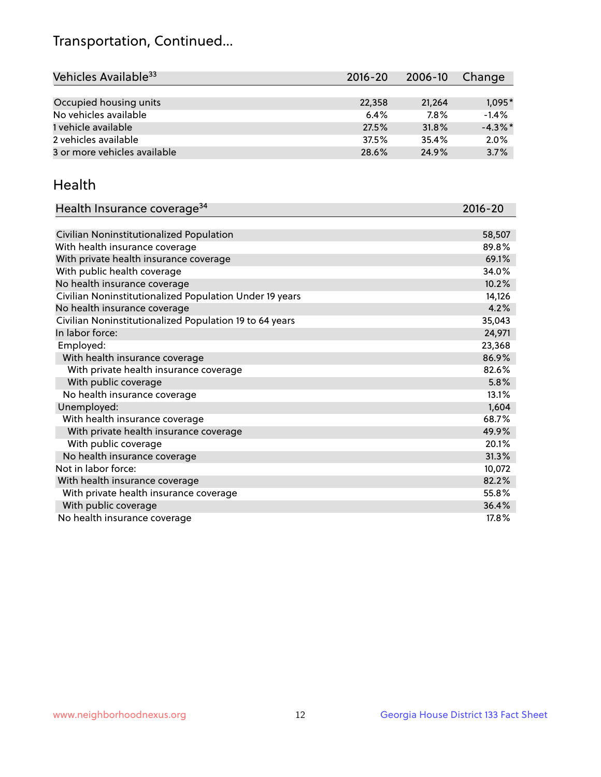## Transportation, Continued...

| Vehicles Available <sup>33</sup> | $2016 - 20$ | 2006-10 | Change     |
|----------------------------------|-------------|---------|------------|
|                                  |             |         |            |
| Occupied housing units           | 22,358      | 21,264  | $1,095*$   |
| No vehicles available            | 6.4%        | 7.8%    | $-1.4%$    |
| 1 vehicle available              | 27.5%       | 31.8%   | $-4.3\%$ * |
| 2 vehicles available             | 37.5%       | 35.4%   | 2.0%       |
| 3 or more vehicles available     | 28.6%       | 24.9%   | 3.7%       |

#### Health

| Health Insurance coverage <sup>34</sup>                 | 2016-20 |
|---------------------------------------------------------|---------|
|                                                         |         |
| Civilian Noninstitutionalized Population                | 58,507  |
| With health insurance coverage                          | 89.8%   |
| With private health insurance coverage                  | 69.1%   |
| With public health coverage                             | 34.0%   |
| No health insurance coverage                            | 10.2%   |
| Civilian Noninstitutionalized Population Under 19 years | 14,126  |
| No health insurance coverage                            | 4.2%    |
| Civilian Noninstitutionalized Population 19 to 64 years | 35,043  |
| In labor force:                                         | 24,971  |
| Employed:                                               | 23,368  |
| With health insurance coverage                          | 86.9%   |
| With private health insurance coverage                  | 82.6%   |
| With public coverage                                    | 5.8%    |
| No health insurance coverage                            | 13.1%   |
| Unemployed:                                             | 1,604   |
| With health insurance coverage                          | 68.7%   |
| With private health insurance coverage                  | 49.9%   |
| With public coverage                                    | 20.1%   |
| No health insurance coverage                            | 31.3%   |
| Not in labor force:                                     | 10,072  |
| With health insurance coverage                          | 82.2%   |
| With private health insurance coverage                  | 55.8%   |
| With public coverage                                    | 36.4%   |
| No health insurance coverage                            | 17.8%   |